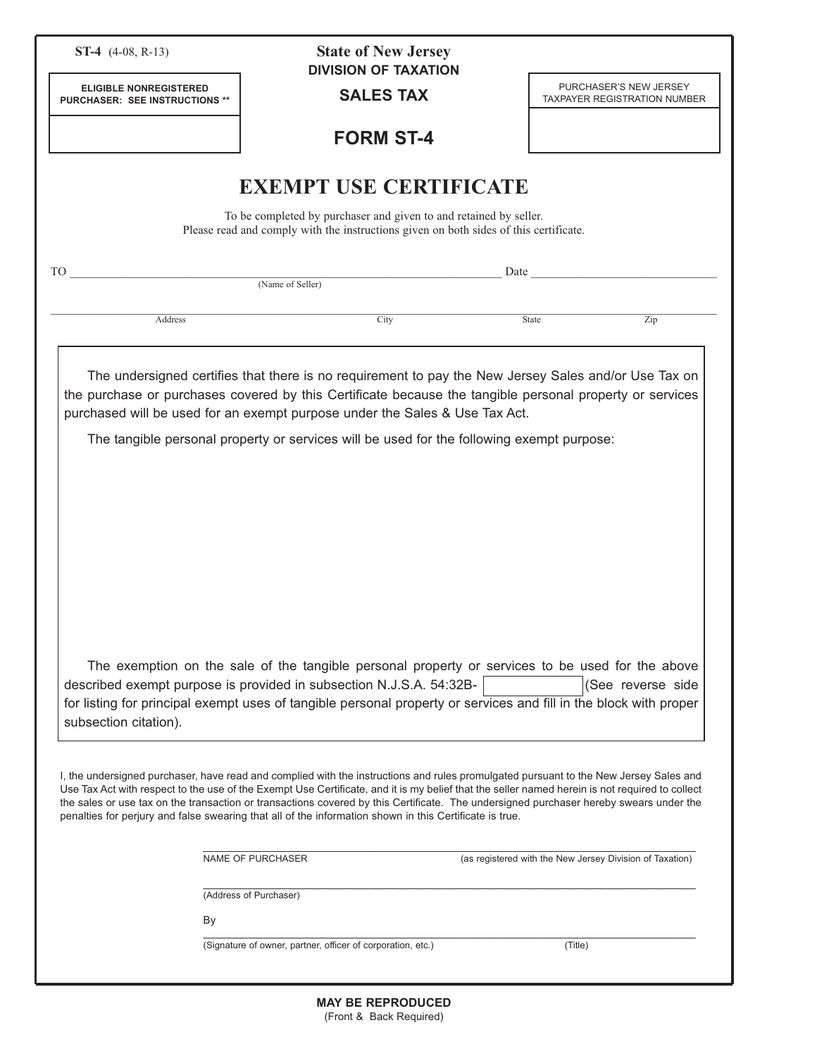| <b>ST-4</b> $(4-08, R-13)$                                      | <b>State of New Jersey</b><br><b>DIVISION OF TAXATION</b>                                                                                                                                                                                                                                                                                                                                                                                                                                                                                    |                                                                                                                                                                                                                               |
|-----------------------------------------------------------------|----------------------------------------------------------------------------------------------------------------------------------------------------------------------------------------------------------------------------------------------------------------------------------------------------------------------------------------------------------------------------------------------------------------------------------------------------------------------------------------------------------------------------------------------|-------------------------------------------------------------------------------------------------------------------------------------------------------------------------------------------------------------------------------|
| <b>ELIGIBLE NONREGISTERED</b><br>PURCHASER: SEE INSTRUCTIONS ** | <b>SALES TAX</b>                                                                                                                                                                                                                                                                                                                                                                                                                                                                                                                             | PURCHASER'S NEW JERSEY<br><b>TAXPAYER REGISTRATION NUMBER</b>                                                                                                                                                                 |
|                                                                 | <b>FORM ST-4</b>                                                                                                                                                                                                                                                                                                                                                                                                                                                                                                                             |                                                                                                                                                                                                                               |
|                                                                 | <b>EXEMPT USE CERTIFICATE</b>                                                                                                                                                                                                                                                                                                                                                                                                                                                                                                                |                                                                                                                                                                                                                               |
|                                                                 | To be completed by purchaser and given to and retained by seller.<br>Please read and comply with the instructions given on both sides of this certificate.                                                                                                                                                                                                                                                                                                                                                                                   |                                                                                                                                                                                                                               |
| <b>TO</b>                                                       | (Name of Seller)                                                                                                                                                                                                                                                                                                                                                                                                                                                                                                                             | Date and the same state of the state of the state of the state of the state of the state of the state of the state of the state of the state of the state of the state of the state of the state of the state of the state of |
|                                                                 |                                                                                                                                                                                                                                                                                                                                                                                                                                                                                                                                              |                                                                                                                                                                                                                               |
| Address                                                         | City                                                                                                                                                                                                                                                                                                                                                                                                                                                                                                                                         | Zip<br>State                                                                                                                                                                                                                  |
|                                                                 | The exemption on the sale of the tangible personal property or services to be used for the above<br>described exempt purpose is provided in subsection N.J.S.A. 54:32B-                                                                                                                                                                                                                                                                                                                                                                      | (See reverse side                                                                                                                                                                                                             |
| subsection citation).                                           | for listing for principal exempt uses of tangible personal property or services and fill in the block with proper                                                                                                                                                                                                                                                                                                                                                                                                                            |                                                                                                                                                                                                                               |
|                                                                 | I, the undersigned purchaser, have read and complied with the instructions and rules promulgated pursuant to the New Jersey Sales and<br>Use Tax Act with respect to the use of the Exempt Use Certificate, and it is my belief that the seller named herein is not required to collect<br>the sales or use tax on the transaction or transactions covered by this Certificate. The undersigned purchaser hereby swears under the<br>penalties for perjury and false swearing that all of the information shown in this Certificate is true. |                                                                                                                                                                                                                               |
|                                                                 |                                                                                                                                                                                                                                                                                                                                                                                                                                                                                                                                              |                                                                                                                                                                                                                               |
|                                                                 | NAME OF PURCHASER                                                                                                                                                                                                                                                                                                                                                                                                                                                                                                                            | (as registered with the New Jersey Division of Taxation)                                                                                                                                                                      |
|                                                                 | (Address of Purchaser)                                                                                                                                                                                                                                                                                                                                                                                                                                                                                                                       |                                                                                                                                                                                                                               |
|                                                                 | By                                                                                                                                                                                                                                                                                                                                                                                                                                                                                                                                           |                                                                                                                                                                                                                               |